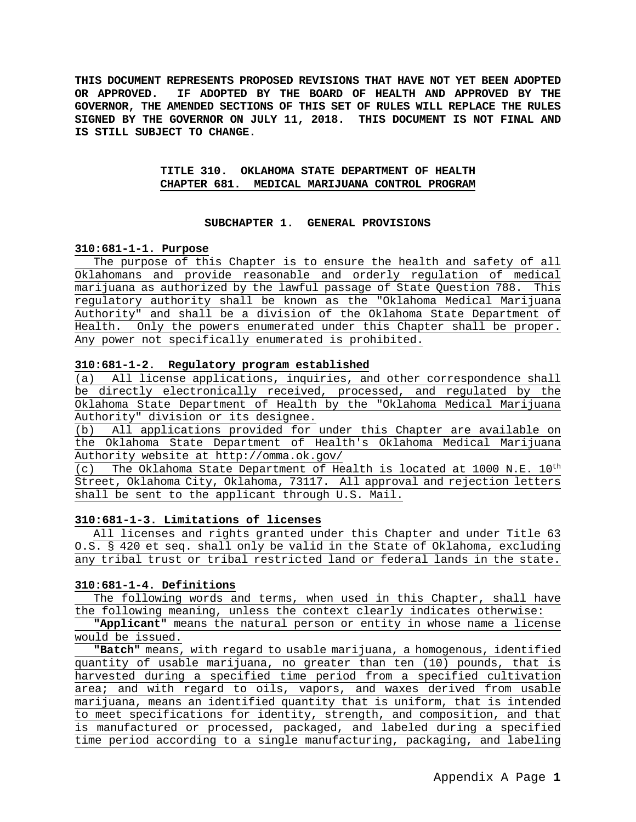**THIS DOCUMENT REPRESENTS PROPOSED REVISIONS THAT HAVE NOT YET BEEN ADOPTED OR APPROVED. IF ADOPTED BY THE BOARD OF HEALTH AND APPROVED BY THE GOVERNOR, THE AMENDED SECTIONS OF THIS SET OF RULES WILL REPLACE THE RULES SIGNED BY THE GOVERNOR ON JULY 11, 2018. THIS DOCUMENT IS NOT FINAL AND IS STILL SUBJECT TO CHANGE.**

## **TITLE 310. OKLAHOMA STATE DEPARTMENT OF HEALTH CHAPTER 681. MEDICAL MARIJUANA CONTROL PROGRAM**

#### **SUBCHAPTER 1. GENERAL PROVISIONS**

#### **310:681-1-1. Purpose**

The purpose of this Chapter is to ensure the health and safety of all Oklahomans and provide reasonable and orderly regulation of medical marijuana as authorized by the lawful passage of State Question 788. This regulatory authority shall be known as the "Oklahoma Medical Marijuana Authority" and shall be a division of the Oklahoma State Department of Health. Only the powers enumerated under this Chapter shall be proper. Any power not specifically enumerated is prohibited.

## **310:681-1-2. Regulatory program established**

(a) All license applications, inquiries, and other correspondence shall be directly electronically received, processed, and regulated by the Oklahoma State Department of Health by the "Oklahoma Medical Marijuana Authority" division or its designee.

(b) All applications provided for under this Chapter are available on the Oklahoma State Department of Health's Oklahoma Medical Marijuana Authority website at http://omma.ok.gov/

(c) The Oklahoma State Department of Health is located at 1000 N.E.  $10^{th}$ Street, Oklahoma City, Oklahoma, 73117. All approval and rejection letters shall be sent to the applicant through U.S. Mail.

## **310:681-1-3. Limitations of licenses**

All licenses and rights granted under this Chapter and under Title 63 O.S. § 420 et seq. shall only be valid in the State of Oklahoma, excluding any tribal trust or tribal restricted land or federal lands in the state.

# **310:681-1-4. Definitions**

The following words and terms, when used in this Chapter, shall have the following meaning, unless the context clearly indicates otherwise:

**"Applicant"** means the natural person or entity in whose name a license would be issued.

**"Batch"** means, with regard to usable marijuana, a homogenous, identified quantity of usable marijuana, no greater than ten (10) pounds, that is harvested during a specified time period from a specified cultivation area; and with regard to oils, vapors, and waxes derived from usable marijuana, means an identified quantity that is uniform, that is intended to meet specifications for identity, strength, and composition, and that is manufactured or processed, packaged, and labeled during a specified time period according to a single manufacturing, packaging, and labeling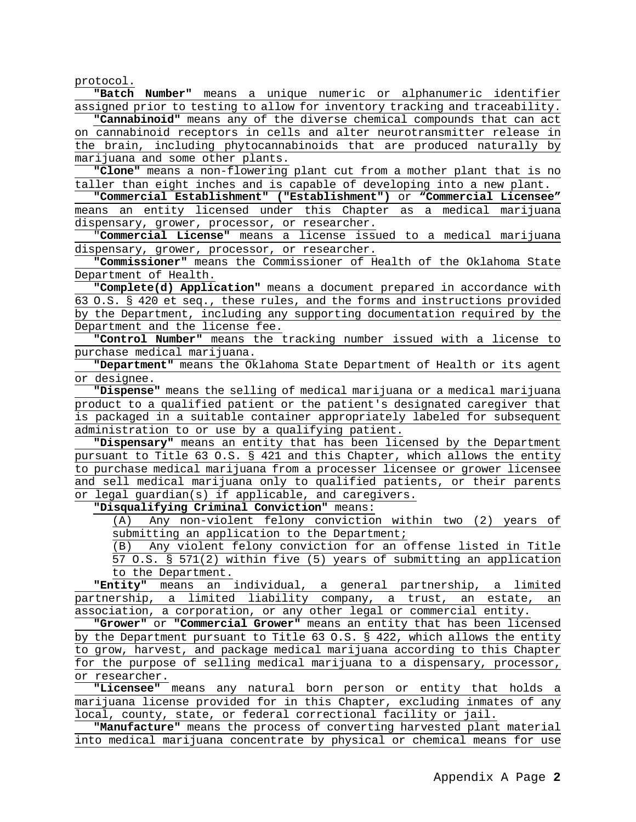protocol.

**"Batch Number"** means a unique numeric or alphanumeric identifier assigned prior to testing to allow for inventory tracking and traceability.

**"Cannabinoid"** means any of the diverse chemical compounds that can act on cannabinoid receptors in cells and alter neurotransmitter release in the brain, including phytocannabinoids that are produced naturally by marijuana and some other plants.

**"Clone"** means a non-flowering plant cut from a mother plant that is no taller than eight inches and is capable of developing into a new plant.

**"Commercial Establishment" ("Establishment")** or **"Commercial Licensee"** means an entity licensed under this Chapter as a medical marijuana dispensary, grower, processor, or researcher.

"**Commercial License"** means a license issued to a medical marijuana dispensary, grower, processor, or researcher.

**"Commissioner"** means the Commissioner of Health of the Oklahoma State Department of Health.

**"Complete(d) Application"** means a document prepared in accordance with 63 O.S. § 420 et seq., these rules, and the forms and instructions provided by the Department, including any supporting documentation required by the Department and the license fee.

**"Control Number"** means the tracking number issued with a license to purchase medical marijuana.

**"Department"** means the Oklahoma State Department of Health or its agent or designee.

**"Dispense"** means the selling of medical marijuana or a medical marijuana product to a qualified patient or the patient's designated caregiver that is packaged in a suitable container appropriately labeled for subsequent administration to or use by a qualifying patient.

**"Dispensary"** means an entity that has been licensed by the Department pursuant to Title 63 O.S. § 421 and this Chapter, which allows the entity to purchase medical marijuana from a processer licensee or grower licensee and sell medical marijuana only to qualified patients, or their parents or legal guardian(s) if applicable, and caregivers.

**"Disqualifying Criminal Conviction"** means:

(A) Any non-violent felony conviction within two (2) years of submitting an application to the Department;<br>(B) Any violent felony conviction for an c

Any violent felony conviction for an offense listed in Title 57 O.S. § 571(2) within five (5) years of submitting an application to the Department.

**"Entity"** means an individual, a general partnership, a limited partnership, a limited liability company, a trust, an estate, an association, a corporation, or any other legal or commercial entity.

**"Grower"** or **"Commercial Grower"** means an entity that has been licensed by the Department pursuant to Title 63 O.S. § 422, which allows the entity to grow, harvest, and package medical marijuana according to this Chapter for the purpose of selling medical marijuana to a dispensary, processor, or researcher.

**"Licensee"** means any natural born person or entity that holds a marijuana license provided for in this Chapter, excluding inmates of any local, county, state, or federal correctional facility or jail.

**"Manufacture"** means the process of converting harvested plant material into medical marijuana concentrate by physical or chemical means for use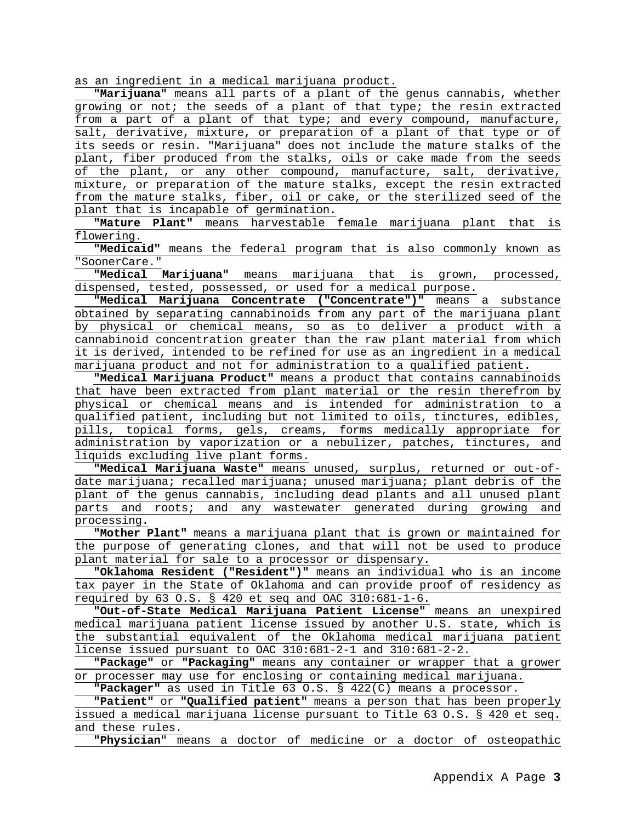as an ingredient in a medical marijuana product.

**"Marijuana"** means all parts of a plant of the genus cannabis, whether growing or not; the seeds of a plant of that type; the resin extracted from a part of a plant of that type; and every compound, manufacture, salt, derivative, mixture, or preparation of a plant of that type or of its seeds or resin. "Marijuana" does not include the mature stalks of the plant, fiber produced from the stalks, oils or cake made from the seeds of the plant, or any other compound, manufacture, salt, derivative, mixture, or preparation of the mature stalks, except the resin extracted from the mature stalks, fiber, oil or cake, or the sterilized seed of the plant that is incapable of germination**.**

**"Mature Plant"** means harvestable female marijuana plant that is flowering.

**"Medicaid"** means the federal program that is also commonly known as "SoonerCare."

**"Medical Marijuana"** means marijuana that is grown, processed, dispensed, tested, possessed, or used for a medical purpose.

**"Medical Marijuana Concentrate ("Concentrate")"** means a substance obtained by separating cannabinoids from any part of the marijuana plant by physical or chemical means, so as to deliver a product with a cannabinoid concentration greater than the raw plant material from which it is derived, intended to be refined for use as an ingredient in a medical marijuana product and not for administration to a qualified patient.

**"Medical Marijuana Product"** means a product that contains cannabinoids that have been extracted from plant material or the resin therefrom by physical or chemical means and is intended for administration to a qualified patient, including but not limited to oils, tinctures, edibles, pills, topical forms, gels, creams, forms medically appropriate for administration by vaporization or a nebulizer, patches, tinctures, and liquids excluding live plant forms.

**"Medical Marijuana Waste"** means unused, surplus, returned or out-ofdate marijuana; recalled marijuana; unused marijuana; plant debris of the plant of the genus cannabis, including dead plants and all unused plant parts and roots; and any wastewater generated during growing and processing.

**"Mother Plant"** means a marijuana plant that is grown or maintained for the purpose of generating clones, and that will not be used to produce plant material for sale to a processor or dispensary.

**"Oklahoma Resident ("Resident")"** means an individual who is an income tax payer in the State of Oklahoma and can provide proof of residency as required by 63 O.S. § 420 et seq and OAC 310:681-1-6.

**"Out-of-State Medical Marijuana Patient License"** means an unexpired medical marijuana patient license issued by another U.S. state, which is the substantial equivalent of the Oklahoma medical marijuana patient license issued pursuant to OAC 310:681-2-1 and 310:681-2-2.

**"Package"** or **"Packaging"** means any container or wrapper that a grower or processer may use for enclosing or containing medical marijuana.

**"Packager"** as used in Title 63 O.S. § 422(C) means a processor.

**"Patient"** or **"Qualified patient"** means a person that has been properly issued a medical marijuana license pursuant to Title 63 O.S. § 420 et seq. and these rules.

**"Physician**" means a doctor of medicine or a doctor of osteopathic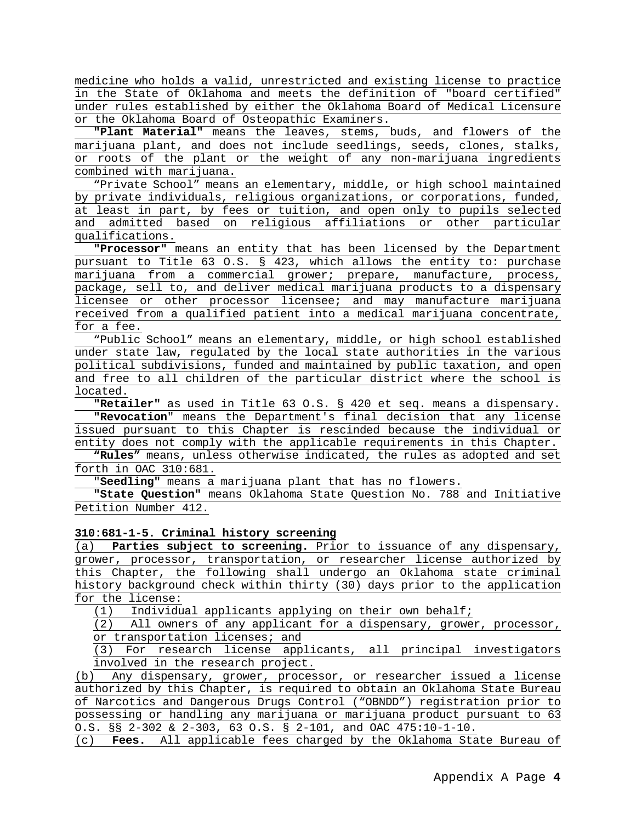medicine who holds a valid, unrestricted and existing license to practice in the State of Oklahoma and meets the definition of "board certified" under rules established by either the Oklahoma Board of Medical Licensure or the Oklahoma Board of Osteopathic Examiners.

**"Plant Material"** means the leaves, stems, buds, and flowers of the marijuana plant, and does not include seedlings, seeds, clones, stalks, or roots of the plant or the weight of any non-marijuana ingredients combined with marijuana.

"Private School" means an elementary, middle, or high school maintained by private individuals, religious organizations, or corporations, funded, at least in part, by fees or tuition, and open only to pupils selected and admitted based on religious affiliations or other particular qualifications.

**"Processor"** means an entity that has been licensed by the Department pursuant to Title 63 O.S. § 423, which allows the entity to: purchase marijuana from a commercial grower; prepare, manufacture, process, package, sell to, and deliver medical marijuana products to a dispensary licensee or other processor licensee; and may manufacture marijuana received from a qualified patient into a medical marijuana concentrate, for a fee.

"Public School" means an elementary, middle, or high school established under state law, regulated by the local state authorities in the various political subdivisions, funded and maintained by public taxation, and open and free to all children of the particular district where the school is located.

**"Retailer"** as used in Title 63 O.S. § 420 et seq. means a dispensary. **"Revocation**" means the Department's final decision that any license issued pursuant to this Chapter is rescinded because the individual or entity does not comply with the applicable requirements in this Chapter.

**"Rules"** means, unless otherwise indicated, the rules as adopted and set forth in OAC 310:681.

"**Seedling"** means a marijuana plant that has no flowers.

**"State Question"** means Oklahoma State Question No. 788 and Initiative Petition Number 412.

#### **310:681-1-5. Criminal history screening**

(a) **Parties subject to screening.** Prior to issuance of any dispensary, grower, processor, transportation, or researcher license authorized by this Chapter, the following shall undergo an Oklahoma state criminal history background check within thirty (30) days prior to the application for the license:<br>(1) Individu

Individual applicants applying on their own behalf;

(2) All owners of any applicant for a dispensary, grower, processor, or transportation licenses; and

(3) For research license applicants, all principal investigators involved in the research project.

Any dispensary, grower, processor, or researcher issued a license authorized by this Chapter, is required to obtain an Oklahoma State Bureau of Narcotics and Dangerous Drugs Control ("OBNDD") registration prior to possessing or handling any marijuana or marijuana product pursuant to 63 O.S. §§ 2-302 & 2-303, 63 O.S. § 2-101, and OAC 475:10-1-10.

(c) **Fees.** All applicable fees charged by the Oklahoma State Bureau of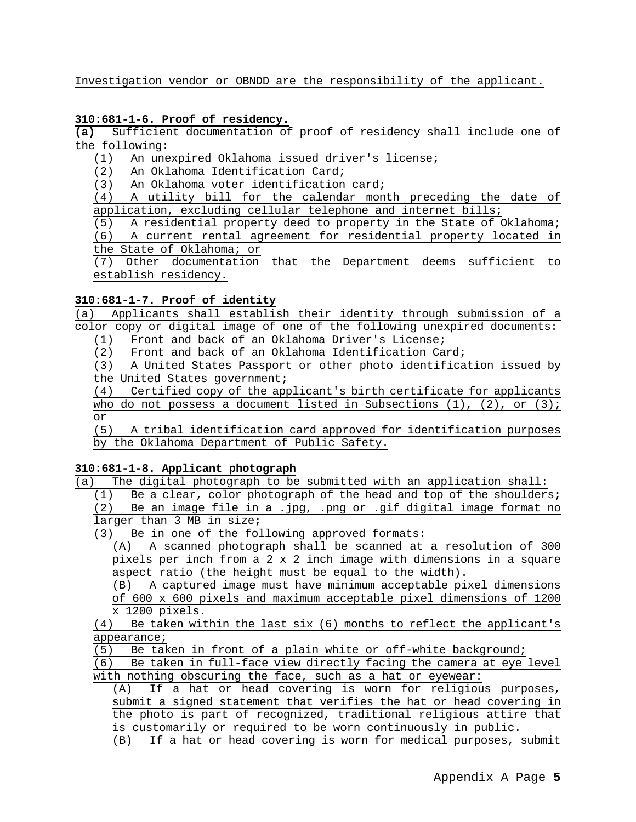Investigation vendor or OBNDD are the responsibility of the applicant.

# **310:681-1-6. Proof of residency.**

**(a)** Sufficient documentation of proof of residency shall include one of the following:

(1) An unexpired Oklahoma issued driver's license;

(2) An Oklahoma Identification Card;<br>(3) An Oklahoma voter identification

An Oklahoma voter identification card;

(4) A utility bill for the calendar month preceding the date of

application, excluding cellular telephone and internet bills;<br>(5) A residential property deed to property in the State of ( (5) A residential property deed to property in the State of Oklahoma;<br>(6) A current rental agreement for residential property located in

(6) A current rental agreement for residential property located in the State of Oklahoma; or

(7) Other documentation that the Department deems sufficient to establish residency.

## **310:681-1-7. Proof of identity**

(a) Applicants shall establish their identity through submission of a color copy or digital image of one of the following unexpired documents:

(1) Front and back of an Oklahoma Driver's License;

(2) Front and back of an Oklahoma Identification Card;

(3) A United States Passport or other photo identification issued by

the United States government;

(4) Certified copy of the applicant's birth certificate for applicants who do not possess a document listed in Subsections  $(1)$ ,  $(2)$ , or  $(3)$ ;

 $\frac{\text{or}}{\text{(5)}}$ (5) A tribal identification card approved for identification purposes by the Oklahoma Department of Public Safety.

# **310:681-1-8. Applicant photograph**

(a) The digital photograph to be submitted with an application shall:

(1) Be a clear, color photograph of the head and top of the shoulders; (2) Be an image file in a .jpg, .png or .gif digital image format no larger than 3 MB in size;

(3) Be in one of the following approved formats:

(A) A scanned photograph shall be scanned at a resolution of 300 pixels per inch from a 2 x 2 inch image with dimensions in a square aspect ratio (the height must be equal to the width).

(B) A captured image must have minimum acceptable pixel dimensions of 600 x 600 pixels and maximum acceptable pixel dimensions of 1200

 $\frac{x \times 1200 \text{ pixels}}{8}$ <br>(4) Be taken wit Be taken within the last  $\text{six }$  (6) months to reflect the applicant's appearance;

(5) Be taken in front of a plain white or off-white background;<br>(6) Be taken in full-face view directly facing the camera at eve

Be taken in full-face view directly facing the camera at eye level with nothing obscuring the face, such as a hat or eyewear:

(A) If a hat or head covering is worn for religious purposes, submit a signed statement that verifies the hat or head covering in the photo is part of recognized, traditional religious attire that is customarily or required to be worn continuously in public.

(B) If a hat or head covering is worn for medical purposes, submit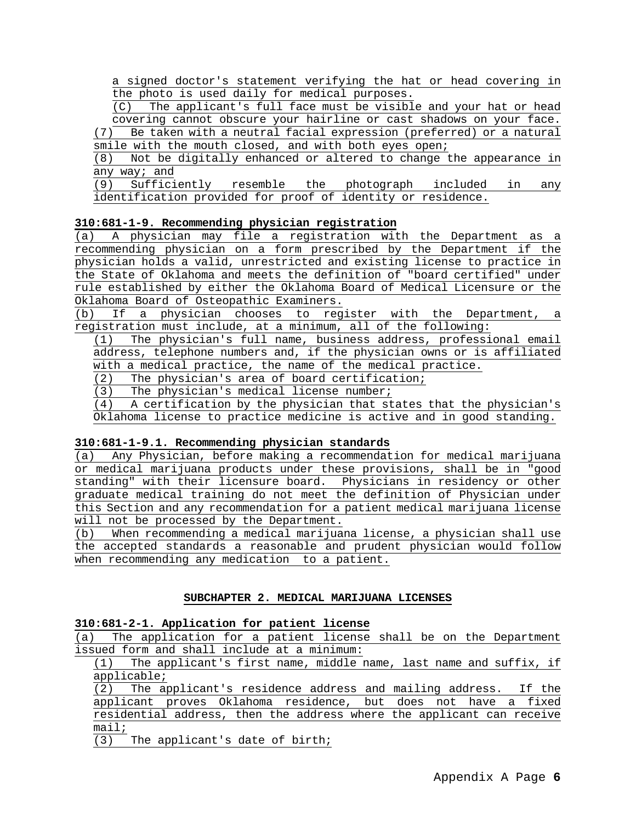a signed doctor's statement verifying the hat or head covering in the photo is used daily for medical purposes.

(C) The applicant's full face must be visible and your hat or head covering cannot obscure your hairline or cast shadows on your face. (7) Be taken with a neutral facial expression (preferred) or a natural

smile with the mouth closed, and with both eyes open;

(8) Not be digitally enhanced or altered to change the appearance in any way; and

(9) Sufficiently resemble the photograph included in any identification provided for proof of identity or residence.

# **310:681-1-9. Recommending physician registration**

(a) A physician may file a registration with the Department as a recommending physician on a form prescribed by the Department if the physician holds a valid, unrestricted and existing license to practice in the State of Oklahoma and meets the definition of "board certified" under rule established by either the Oklahoma Board of Medical Licensure or the Oklahoma Board of Osteopathic Examiners.<br>(b) If a physician chooses to regi

If a physician chooses to register with the Department, a registration must include, at a minimum, all of the following:

(1) The physician's full name, business address, professional email address, telephone numbers and, if the physician owns or is affiliated with a medical practice, the name of the medical practice.<br>(2) The physician's area of board certification;

The physician's area of board certification;

(3) The physician's medical license number;<br>(4) A certification by the physician that st

(4) A certification by the physician that states that the physician's Oklahoma license to practice medicine is active and in good standing.

# **310:681-1-9.1. Recommending physician standards**

(a) Any Physician, before making a recommendation for medical marijuana or medical marijuana products under these provisions, shall be in "good standing" with their licensure board. Physicians in residency or other graduate medical training do not meet the definition of Physician under this Section and any recommendation for a patient medical marijuana license will not be processed by the Department.

(b) When recommending a medical marijuana license, a physician shall use the accepted standards a reasonable and prudent physician would follow when recommending any medication to a patient.

# **SUBCHAPTER 2. MEDICAL MARIJUANA LICENSES**

## **310:681-2-1. Application for patient license**

(a) The application for a patient license shall be on the Department issued form and shall include at a minimum:

(1) The applicant's first name, middle name, last name and suffix, if applicable;<br>(2) The am

The applicant's residence address and mailing address. If the applicant proves Oklahoma residence, but does not have a fixed residential address, then the address where the applicant can receive mail;

(3) The applicant's date of birth;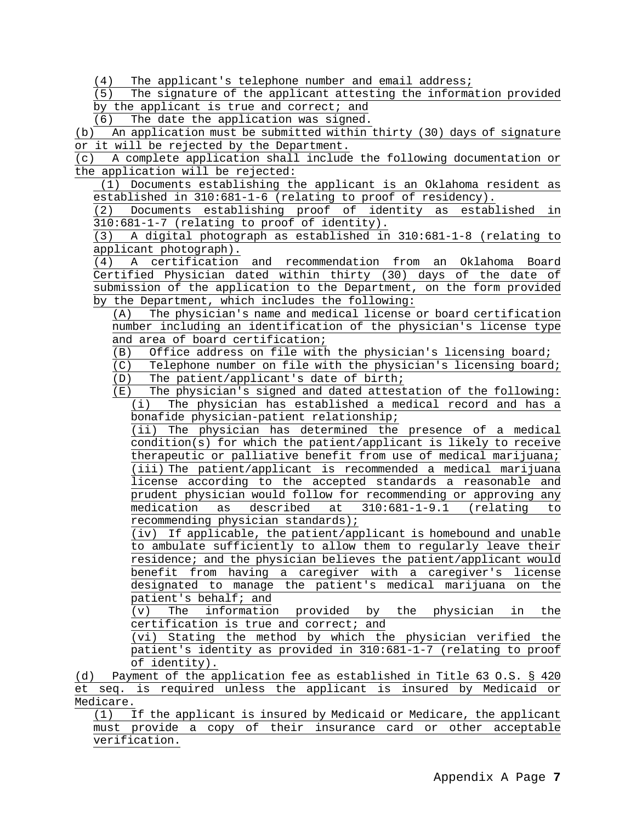(4) The applicant's telephone number and email address;

(5) The signature of the applicant attesting the information provided by the applicant is true and correct; and

(6) The date the application was signed.

(b) An application must be submitted within thirty (30) days of signature or it will be rejected by the Department.

(c) A complete application shall include the following documentation or the application will be rejected:

(1) Documents establishing the applicant is an Oklahoma resident as established in 310:681-1-6 (relating to proof of residency).

(2) Documents establishing proof of identity as established in  $\frac{310:681-1-7}{3}$  (relating to proof of identity).

(3) A digital photograph as established in 310:681-1-8 (relating to applicant photograph).

(4) A certification and recommendation from an Oklahoma Board Certified Physician dated within thirty (30) days of the date of submission of the application to the Department, on the form provided by the Department, which includes the following:

(A) The physician's name and medical license or board certification number including an identification of the physician's license type and area of board certification;

(B) Office address on file with the physician's licensing board;<br>(C) Telephone number on file with the physician's licensing board

Telephone number on file with the physician's licensing board; (D) The patient/applicant's date of birth;

 $(E)$  The physician's signed and dated attestation of the following:<br>(i) The physician has established a medical record and has a The physician has established a medical record and has a bonafide physician-patient relationship;

(ii) The physician has determined the presence of a medical condition(s) for which the patient/applicant is likely to receive therapeutic or palliative benefit from use of medical marijuana; (iii) The patient/applicant is recommended a medical marijuana license according to the accepted standards a reasonable and prudent physician would follow for recommending or approving any medication as described at 310:681-1-9.1 (relating to recommending physician standards);

(iv) If applicable, the patient/applicant is homebound and unable to ambulate sufficiently to allow them to regularly leave their residence; and the physician believes the patient/applicant would benefit from having a caregiver with a caregiver's license designated to manage the patient's medical marijuana on the patient's behalf; and

(v) The information provided by the physician in the certification is true and correct; and

(vi) Stating the method by which the physician verified the patient's identity as provided in 310:681-1-7 (relating to proof of identity).

(d) Payment of the application fee as established in Title 63 O.S. § 420 et seq. is required unless the applicant is insured by Medicaid or Medicare.

(1) If the applicant is insured by Medicaid or Medicare, the applicant must provide a copy of their insurance card or other acceptable verification.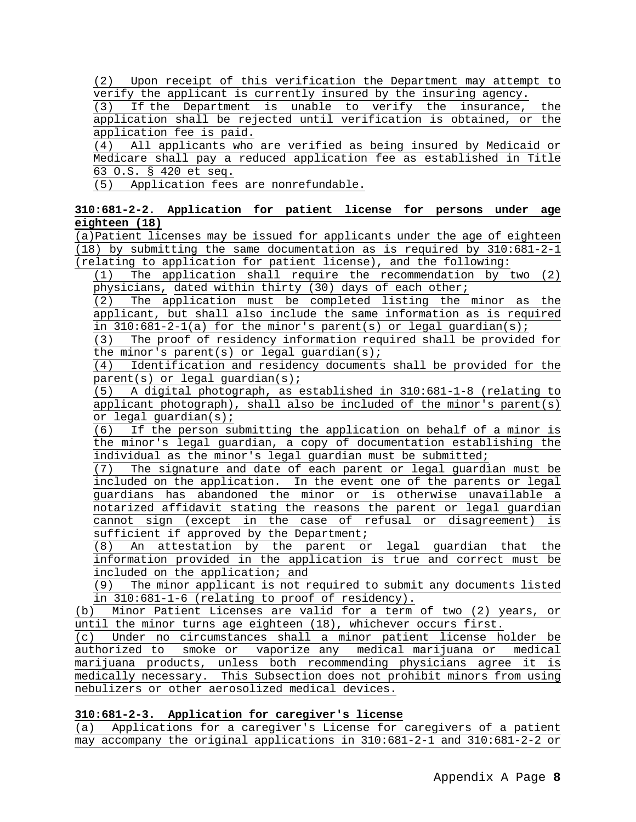(2) Upon receipt of this verification the Department may attempt to verify the applicant is currently insured by the insuring agency.

(3) If the Department is unable to verify the insurance, the application shall be rejected until verification is obtained, or the application fee is paid.

(4) All applicants who are verified as being insured by Medicaid or Medicare shall pay a reduced application fee as established in Title 63 O.S. § 420 et seq.

(5) Application fees are nonrefundable.

# **310:681-2-2. Application for patient license for persons under age eighteen (18)**

(a)Patient licenses may be issued for applicants under the age of eighteen (18) by submitting the same documentation as is required by 310:681-2-1 (relating to application for patient license), and the following:

(1) The application shall require the recommendation by two (2) physicians, dated within thirty (30) days of each other;

(2) The application must be completed listing the minor as the applicant, but shall also include the same information as is required in  $310:681-2-1(a)$  for the minor's parent(s) or legal guardian(s);

(3) The proof of residency information required shall be provided for the minor's parent(s) or legal guardian(s);

(4) Identification and residency documents shall be provided for the parent(s) or legal guardian(s);

(5) A digital photograph, as established in 310:681-1-8 (relating to applicant photograph), shall also be included of the minor's parent(s) or legal guardian(s);

(6) If the person submitting the application on behalf of a minor is the minor's legal guardian, a copy of documentation establishing the individual as the minor's legal guardian must be submitted;

(7) The signature and date of each parent or legal guardian must be included on the application. In the event one of the parents or legal guardians has abandoned the minor or is otherwise unavailable a notarized affidavit stating the reasons the parent or legal guardian cannot sign (except in the case of refusal or disagreement) is sufficient if approved by the Department;

(8) An attestation by the parent or legal guardian that the information provided in the application is true and correct must be included on the application; and<br>(9) The minor applicant is not r

The minor applicant is not required to submit any documents listed in 310:681-1-6 (relating to proof of residency).

(b) Minor Patient Licenses are valid for a term of two (2) years, or until the minor turns age eighteen (18), whichever occurs first.

(c) Under no circumstances shall a minor patient license holder be authorized to smoke or vaporize any medical marijuana or medical marijuana products, unless both recommending physicians agree it is medically necessary. This Subsection does not prohibit minors from using nebulizers or other aerosolized medical devices.

# **310:681-2-3. Application for caregiver's license**

Applications for a caregiver's License for caregivers of a patient may accompany the original applications in 310:681-2-1 and 310:681-2-2 or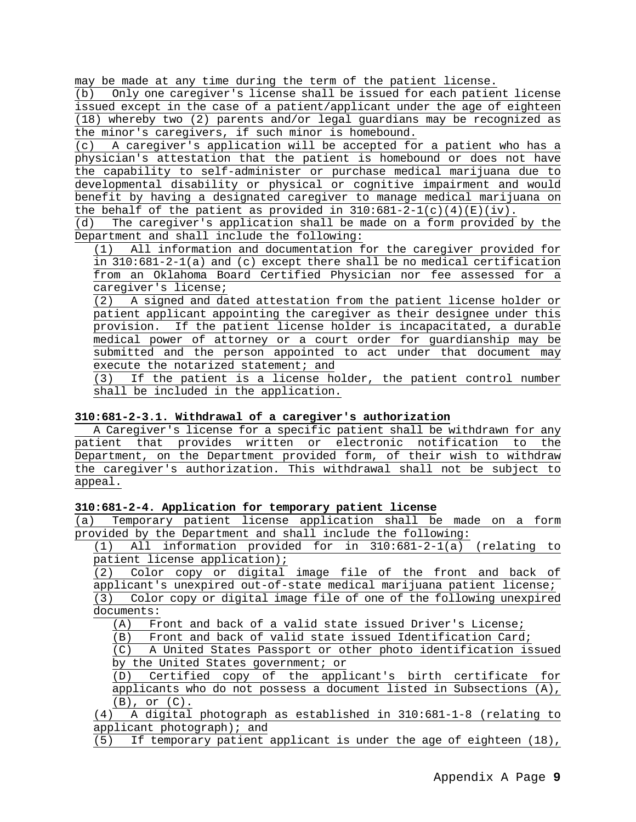may be made at any time during the term of the patient license.<br>(b) Only one careqiver's license shall be issued for each patien

Only one caregiver's license shall be issued for each patient license issued except in the case of a patient/applicant under the age of eighteen (18) whereby two (2) parents and/or legal guardians may be recognized as the minor's caregivers, if such minor is homebound.

(c) A caregiver's application will be accepted for a patient who has a physician's attestation that the patient is homebound or does not have the capability to self-administer or purchase medical marijuana due to developmental disability or physical or cognitive impairment and would benefit by having a designated caregiver to manage medical marijuana on

the behalf of the patient as provided in  $310:681-2-1(c)(4)(E)(iv)$ .<br>(d) The careqiver's application shall be made on a form provided The caregiver's application shall be made on a form provided by the Department and shall include the following:

(1) All information and documentation for the caregiver provided for in 310:681-2-1(a) and (c) except there shall be no medical certification from an Oklahoma Board Certified Physician nor fee assessed for a caregiver's license;

(2) A signed and dated attestation from the patient license holder or patient applicant appointing the caregiver as their designee under this provision. If the patient license holder is incapacitated, a durable medical power of attorney or a court order for guardianship may be submitted and the person appointed to act under that document may execute the notarized statement; and

(3) If the patient is a license holder, the patient control number shall be included in the application.

## **310:681-2-3.1. Withdrawal of a caregiver's authorization**

A Caregiver's license for a specific patient shall be withdrawn for any patient that provides written or electronic notification to the Department, on the Department provided form, of their wish to withdraw the caregiver's authorization. This withdrawal shall not be subject to appeal.

#### **310:681-2-4. Application for temporary patient license**

(a) Temporary patient license application shall be made on a form provided by the Department and shall include the following:

(1) All information provided for in 310:681-2-1(a) (relating to patient license application);

(2) Color copy or digital image file of the front and back of applicant's unexpired out-of-state medical marijuana patient license; (3) Color copy or digital image file of one of the following unexpired

documents:

(A) Front and back of a valid state issued Driver's License;<br>(B) Front and back of valid state issued Identification Card

Front and back of valid state issued Identification Card;

(C) A United States Passport or other photo identification issued by the United States government; or

(D) Certified copy of the applicant's birth certificate for applicants who do not possess a document listed in Subsections (A), (B), or (C).

(4) A digital photograph as established in 310:681-1-8 (relating to applicant photograph); and

(5) If temporary patient applicant is under the age of eighteen (18),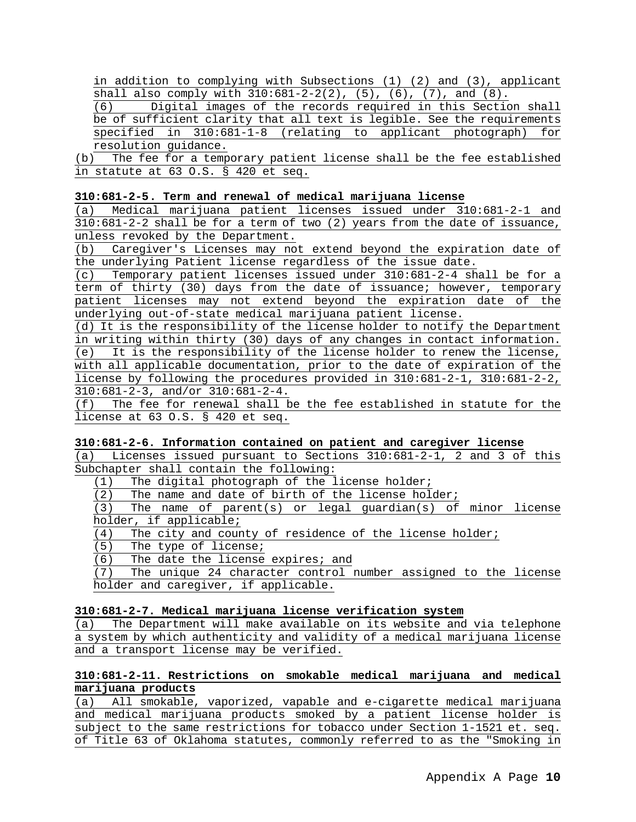in addition to complying with Subsections (1) (2) and (3), applicant

shall also comply with  $310:681-2-2(2)$ ,  $(5)$ ,  $(6)$ ,  $(7)$ , and  $(8)$ .<br>(6) Digital images of the records required in this Section Digital images of the records required in this Section shall be of sufficient clarity that all text is legible. See the requirements<br>specified in 310:681-1-8 (relating to applicant photograph) for  $specified$  in  $310:681-1-8$  (relating to applicant photograph) resolution guidance.

(b) The fee for a temporary patient license shall be the fee established in statute at 63 O.S. § 420 et seq.

## **310:681-2-5. Term and renewal of medical marijuana license**

(a) Medical marijuana patient licenses issued under 310:681-2-1 and 310:681-2-2 shall be for a term of two (2) years from the date of issuance, unless revoked by the Department.

(b) Caregiver's Licenses may not extend beyond the expiration date of the underlying Patient license regardless of the issue date.

(c) Temporary patient licenses issued under 310:681-2-4 shall be for a term of thirty (30) days from the date of issuance; however, temporary patient licenses may not extend beyond the expiration date of the underlying out-of-state medical marijuana patient license.

(d) It is the responsibility of the license holder to notify the Department in writing within thirty (30) days of any changes in contact information. (e) It is the responsibility of the license holder to renew the license, with all applicable documentation, prior to the date of expiration of the license by following the procedures provided in 310:681-2-1, 310:681-2-2, 310:681-2-3, and/or 310:681-2-4.

(f) The fee for renewal shall be the fee established in statute for the license at 63 O.S. § 420 et seq.

# **310:681-2-6. Information contained on patient and caregiver license**

(a) Licenses issued pursuant to Sections 310:681-2-1, 2 and 3 of this Subchapter shall contain the following:

 $(1)$  The digital photograph of the license holder;<br>(2) The name and date of birth of the license hole

(2) The name and date of birth of the license holder;<br>(3) The name of parent(s) or legal quardian(s) of

The name of parent(s) or legal guardian(s) of minor license holder, if applicable;

(4) The city and county of residence of the license holder;

 $(5)$  The type of license;<br>(6) The date the license

(6) The date the license expires; and<br>(7) The unique 24 character control p

The unique 24 character control number assigned to the license holder and caregiver, if applicable.

#### **310:681-2-7. Medical marijuana license verification system**

(a) The Department will make available on its website and via telephone a system by which authenticity and validity of a medical marijuana license and a transport license may be verified.

# **310:681-2-11. Restrictions on smokable medical marijuana and medical marijuana products**

(a) All smokable, vaporized, vapable and e-cigarette medical marijuana and medical marijuana products smoked by a patient license holder is subject to the same restrictions for tobacco under Section 1-1521 et. seq. of Title 63 of Oklahoma statutes, commonly referred to as the "Smoking in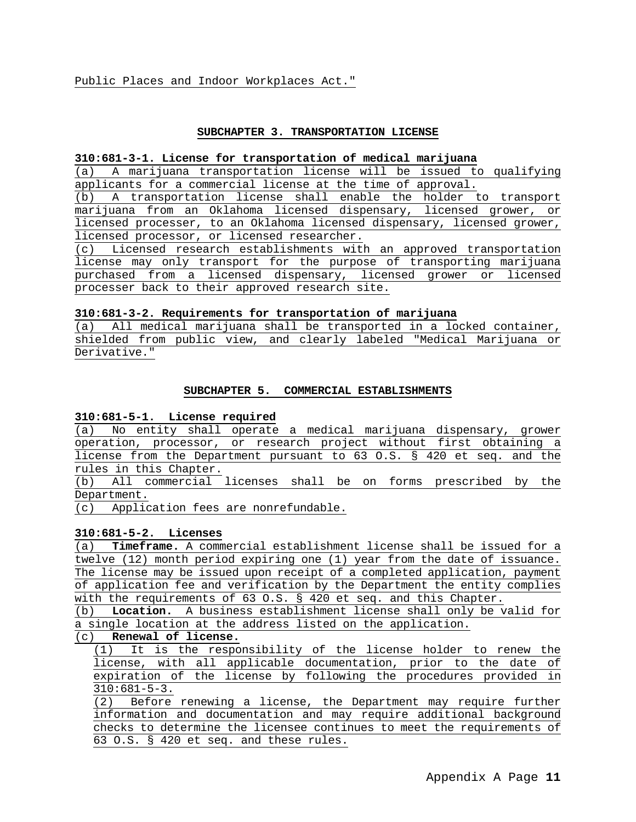#### **SUBCHAPTER 3. TRANSPORTATION LICENSE**

## **310:681-3-1. License for transportation of medical marijuana**

(a) A marijuana transportation license will be issued to qualifying applicants for a commercial license at the time of approval.

(b) A transportation license shall enable the holder to transport marijuana from an Oklahoma licensed dispensary, licensed grower, or licensed processer, to an Oklahoma licensed dispensary, licensed grower, licensed processor, or licensed researcher.

(c) Licensed research establishments with an approved transportation license may only transport for the purpose of transporting marijuana purchased from a licensed dispensary, licensed grower or licensed processer back to their approved research site.

## **310:681-3-2. Requirements for transportation of marijuana**

(a) All medical marijuana shall be transported in a locked container, shielded from public view, and clearly labeled "Medical Marijuana or Derivative."

#### **SUBCHAPTER 5. COMMERCIAL ESTABLISHMENTS**

#### **310:681-5-1. License required**

(a) No entity shall operate a medical marijuana dispensary, grower operation, processor, or research project without first obtaining a license from the Department pursuant to 63 O.S. § 420 et seq. and the rules in this Chapter.

(b) All commercial licenses shall be on forms prescribed by the Department.

(c) Application fees are nonrefundable.

## **310:681-5-2. Licenses**

(a) **Timeframe.** A commercial establishment license shall be issued for a twelve (12) month period expiring one (1) year from the date of issuance. The license may be issued upon receipt of a completed application, payment of application fee and verification by the Department the entity complies with the requirements of  $63$  O.S. § 420 et seq. and this Chapter.<br>(b) **Location.** A business establishment license shall only be v

Location. A business establishment license shall only be valid for a single location at the address listed on the application.

#### (c) **Renewal of license.**

(1) It is the responsibility of the license holder to renew the license, with all applicable documentation, prior to the date of expiration of the license by following the procedures provided in 310:681-5-3.

(2) Before renewing a license, the Department may require further information and documentation and may require additional background checks to determine the licensee continues to meet the requirements of 63 O.S. § 420 et seq. and these rules.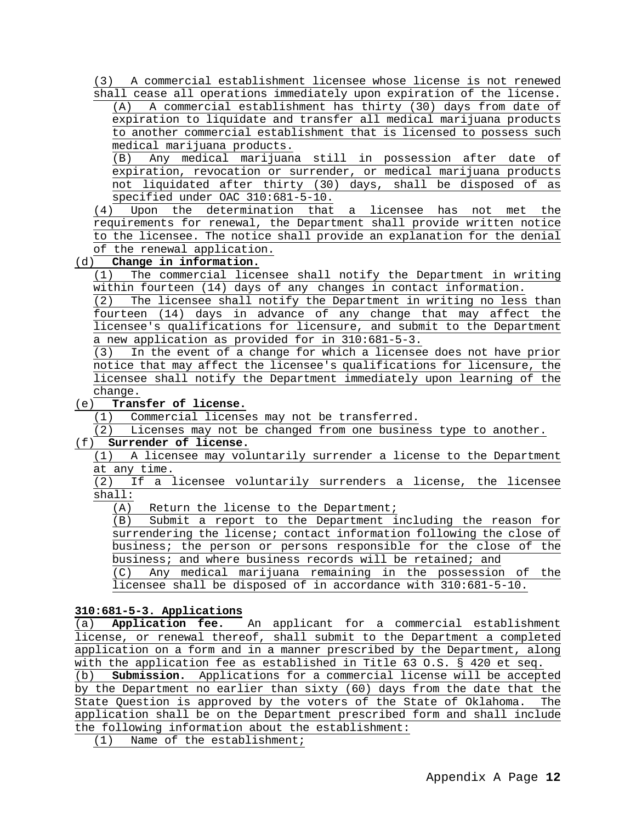(3) A commercial establishment licensee whose license is not renewed shall cease all operations immediately upon expiration of the license.

(A) A commercial establishment has thirty (30) days from date of expiration to liquidate and transfer all medical marijuana products to another commercial establishment that is licensed to possess such medical marijuana products.

(B) Any medical marijuana still in possession after date of expiration, revocation or surrender, or medical marijuana products not liquidated after thirty (30) days, shall be disposed of as specified under OAC 310:681-5-10.

(4) Upon the determination that a licensee has not met the requirements for renewal, the Department shall provide written notice to the licensee. The notice shall provide an explanation for the denial of the renewal application.<br>(d) **Change in information.** 

# Change in information.

(1) The commercial licensee shall notify the Department in writing within fourteen (14) days of any changes in contact information.

 $(2)$  The licensee shall notify the Department in writing no less than fourteen (14) days in advance of any change that may affect the licensee's qualifications for licensure, and submit to the Department a new application as provided for in 310:681-5-3.

(3) In the event of a change for which a licensee does not have prior notice that may affect the licensee's qualifications for licensure, the licensee shall notify the Department immediately upon learning of the change.

## (e) **Transfer of license.**

(1) Commercial licenses may not be transferred.

(2) Licenses may not be changed from one business type to another.

## (f) **Surrender of license.**

(1) A licensee may voluntarily surrender a license to the Department at any time.

(2) If a licensee voluntarily surrenders a license, the licensee shall:

 $(A)$  Return the license to the Department;<br>(B) Submit a report to the Department i

Submit a report to the Department including the reason for surrendering the license; contact information following the close of business; the person or persons responsible for the close of the business; and where business records will be retained; and

(C) Any medical marijuana remaining in the possession of the licensee shall be disposed of in accordance with 310:681-5-10.

#### **310:681-5-3. Applications**

(a) **Application fee.** An applicant for a commercial establishment license, or renewal thereof, shall submit to the Department a completed application on a form and in a manner prescribed by the Department, along with the application fee as established in Title 63 O.S. § 420 et seq.<br>(b) **Submission.** Applications for a commercial license will be accept

Submission. Applications for a commercial license will be accepted by the Department no earlier than sixty (60) days from the date that the State Question is approved by the voters of the State of Oklahoma. The application shall be on the Department prescribed form and shall include the following information about the establishment:

(1) Name of the establishment;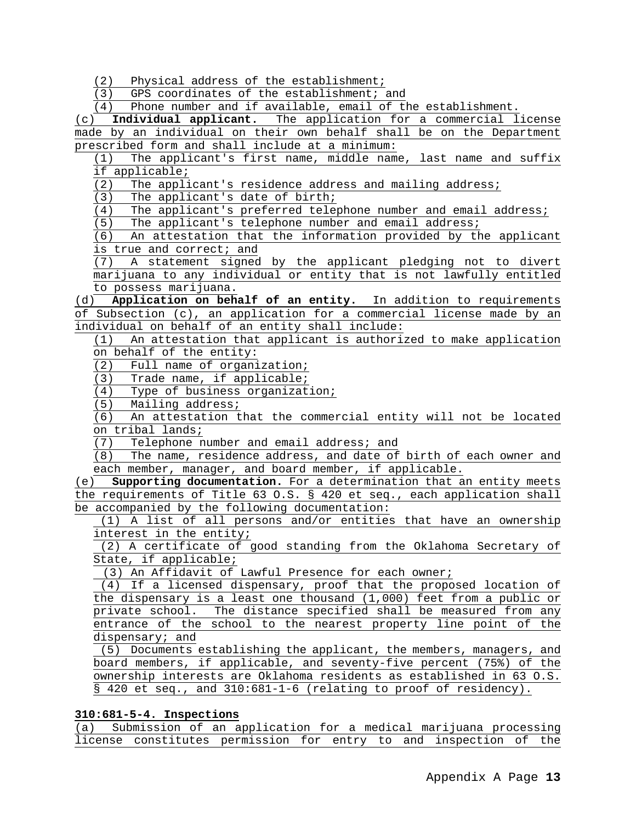(2) Physical address of the establishment;

(3) GPS coordinates of the establishment; and

(4) Phone number and if available, email of the establishment.

(c) **Individual applicant.** The application for a commercial license made by an individual on their own behalf shall be on the Department prescribed form and shall include at a minimum:

(1) The applicant's first name, middle name, last name and suffix if applicable;

(2) The applicant's residence address and mailing address;<br>(3) The applicant's date of birth;

The applicant's date of birth;

(4) The applicant's preferred telephone number and email address;<br>(5) The applicant's telephone number and email address;

The applicant's telephone number and email address;

(6) An attestation that the information provided by the applicant

is true and correct; and<br>(7) A statement signed A statement signed by the applicant pledging not to divert marijuana to any individual or entity that is not lawfully entitled to possess marijuana.

(d) **Application on behalf of an entity.** In addition to requirements of Subsection (c), an application for a commercial license made by an individual on behalf of an entity shall include:

(1) An attestation that applicant is authorized to make application on behalf of the entity:

(2) Full name of organization;

(3) Trade name, if applicable;

(4) Type of business organization;

(5) Mailing address;

(6) An attestation that the commercial entity will not be located on tribal lands;<br>(7) Telephone n

(7) Telephone number and email address; and<br>(8) The name, residence address, and date of

The name, residence address, and date of birth of each owner and each member, manager, and board member, if applicable.

(e) **Supporting documentation.** For a determination that an entity meets the requirements of Title 63 O.S. § 420 et seq., each application shall be accompanied by the following documentation:

(1) A list of all persons and/or entities that have an ownership interest in the entity;

(2) A certificate of good standing from the Oklahoma Secretary of State, if applicable;

(3) An Affidavit of Lawful Presence for each owner;

(4) If a licensed dispensary, proof that the proposed location of the dispensary is a least one thousand (1,000) feet from a public or private school. The distance specified shall be measured from any entrance of the school to the nearest property line point of the dispensary; and

(5) Documents establishing the applicant, the members, managers, and board members, if applicable, and seventy-five percent (75%) of the ownership interests are Oklahoma residents as established in 63 O.S. § 420 et seq., and 310:681-1-6 (relating to proof of residency).

## **310:681-5-4. Inspections**

(a) Submission of an application for a medical marijuana processing license constitutes permission for entry to and inspection of the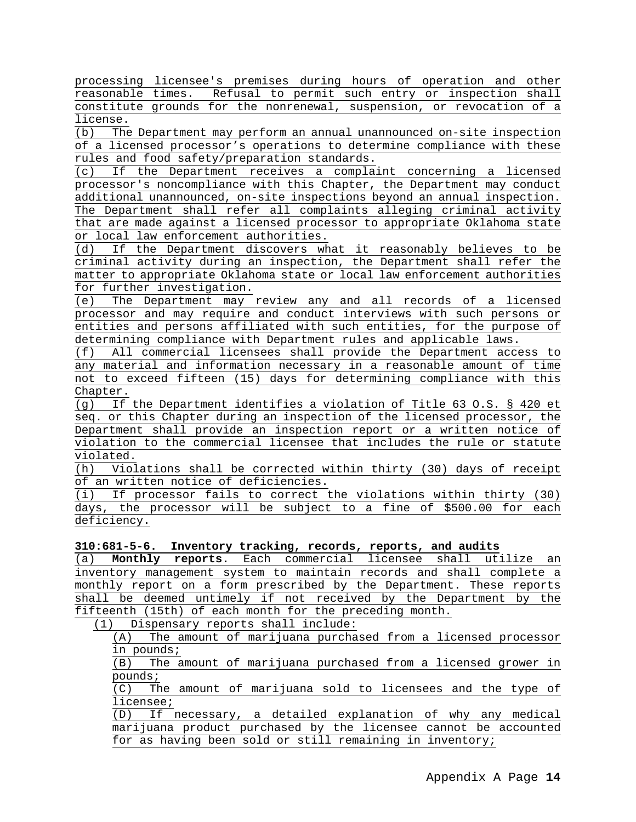processing licensee's premises during hours of operation and other reasonable times. Refusal to permit such entry or inspection shall constitute grounds for the nonrenewal, suspension, or revocation of a  $\frac{\text{license.}}{(\text{b})}$  The

The Department may perform an annual unannounced on-site inspection of a licensed processor's operations to determine compliance with these rules and food safety/preparation standards.<br>(c) If the Department receives a complai

If the Department receives a complaint concerning a licensed processor's noncompliance with this Chapter, the Department may conduct additional unannounced, on-site inspections beyond an annual inspection. The Department shall refer all complaints alleging criminal activity that are made against a licensed processor to appropriate Oklahoma state or local law enforcement authorities.

(d) If the Department discovers what it reasonably believes to be criminal activity during an inspection, the Department shall refer the matter to appropriate Oklahoma state or local law enforcement authorities for further investigation.

(e) The Department may review any and all records of a licensed processor and may require and conduct interviews with such persons or entities and persons affiliated with such entities, for the purpose of determining compliance with Department rules and applicable laws.

(f) All commercial licensees shall provide the Department access to any material and information necessary in a reasonable amount of time not to exceed fifteen (15) days for determining compliance with this Chapter.

(g) If the Department identifies a violation of Title 63 O.S. § 420 et seq. or this Chapter during an inspection of the licensed processor, the Department shall provide an inspection report or a written notice of violation to the commercial licensee that includes the rule or statute violated.

(h) Violations shall be corrected within thirty (30) days of receipt of an written notice of deficiencies.

(i) If processor fails to correct the violations within thirty (30) days, the processor will be subject to a fine of \$500.00 for each deficiency.

**310:681-5-6. Inventory tracking, records, reports, and audits**

(a) **Monthly reports.** Each commercial licensee shall utilize an inventory management system to maintain records and shall complete a monthly report on a form prescribed by the Department. These reports shall be deemed untimely if not received by the Department by the fifteenth (15th) of each month for the preceding month.

(1) Dispensary reports shall include:

(A) The amount of marijuana purchased from a licensed processor in pounds;

(B) The amount of marijuana purchased from a licensed grower in pounds;

(C) The amount of marijuana sold to licensees and the type of licensee;

(D) If necessary, a detailed explanation of why any medical marijuana product purchased by the licensee cannot be accounted for as having been sold or still remaining in inventory;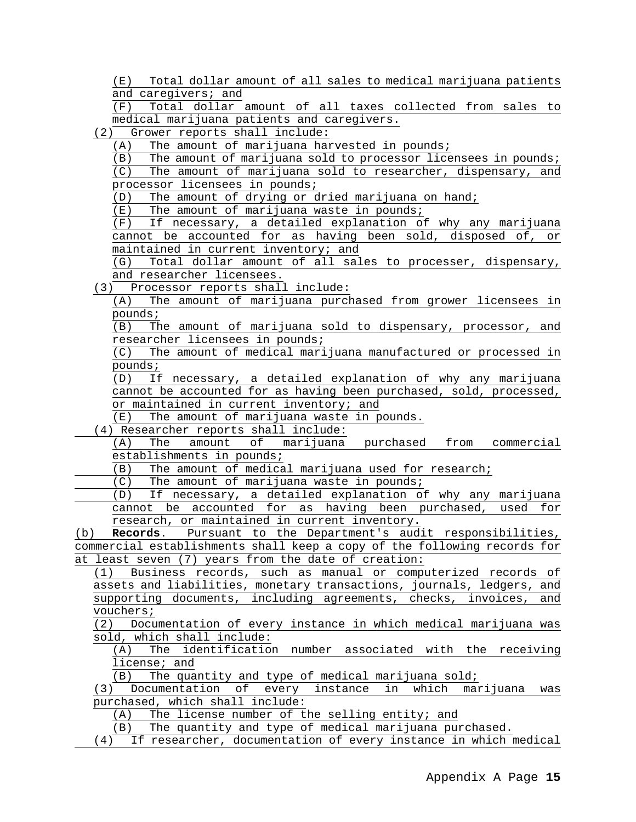(E) Total dollar amount of all sales to medical marijuana patients and caregivers; and<br>(F) Total dollar

Total dollar amount of all taxes collected from sales to medical marijuana patients and caregivers.

(2) Grower reports shall include:

(A) The amount of marijuana harvested in pounds;

(B) The amount of marijuana sold to processor licensees in pounds; (C) The amount of marijuana sold to researcher, dispensary, and

processor licensees in pounds;<br>(D) The amount of drying or c

The amount of drying or dried marijuana on hand;

 $(E)$  The amount of marijuana waste in pounds;<br>(F) If necessary, a detailed explanation of

If necessary, a detailed explanation of why any marijuana cannot be accounted for as having been sold, disposed of, or maintained in current inventory; and<br>(G) Total dollar amount of all sal

Total dollar amount of all sales to processer, dispensary, and researcher licensees.

(3) Processor reports shall include:

(A) The amount of marijuana purchased from grower licensees in pounds;

(B) The amount of marijuana sold to dispensary, processor, and researcher licensees in pounds;

(C) The amount of medical marijuana manufactured or processed in pounds;

(D) If necessary, a detailed explanation of why any marijuana cannot be accounted for as having been purchased, sold, processed, or maintained in current inventory; and

(E) The amount of marijuana waste in pounds.

(4) Researcher reports shall include:<br>(A) The amount of marijuana

The amount of marijuana purchased from commercial establishments in pounds;

(B) The amount of medical marijuana used for research;

(C) The amount of marijuana waste in pounds;

(D) If necessary, a detailed explanation of why any marijuana cannot be accounted for as having been purchased, used for research, or maintained in current inventory.

(b) **Records**. Pursuant to the Department's audit responsibilities, commercial establishments shall keep a copy of the following records for at least seven (7) years from the date of creation:

(1) Business records, such as manual or computerized records of assets and liabilities, monetary transactions, journals, ledgers, and supporting documents, including agreements, checks, invoices, and vouchers;

(2) Documentation of every instance in which medical marijuana was sold, which shall include:

(A) The identification number associated with the receiving license; and

(B) The quantity and type of medical marijuana sold;

(3) Documentation of every instance in which marijuana was purchased, which shall include:

(A) The license number of the selling entity; and

(B) The quantity and type of medical marijuana purchased.

(4) If researcher, documentation of every instance in which medical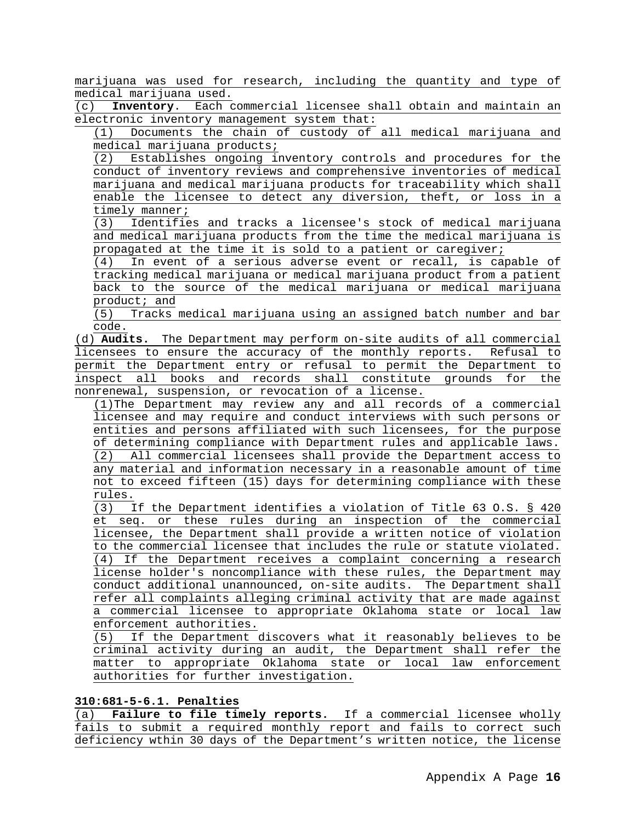marijuana was used for research, including the quantity and type of medical marijuana used.<br>(c) **Inventory**. Each o

(c) **Inventory**. Each commercial licensee shall obtain and maintain an electronic inventory management system that:

(1) Documents the chain of custody of all medical marijuana and medical marijuana products;

(2) Establishes ongoing inventory controls and procedures for the conduct of inventory reviews and comprehensive inventories of medical marijuana and medical marijuana products for traceability which shall enable the licensee to detect any diversion, theft, or loss in a  $\frac{\text{timely manner}}{(3)}$  Identifie

Identifies and tracks a licensee's stock of medical marijuana and medical marijuana products from the time the medical marijuana is propagated at the time it is sold to a patient or caregiver;

(4) In event of a serious adverse event or recall, is capable of tracking medical marijuana or medical marijuana product from a patient back to the source of the medical marijuana or medical marijuana product; and

(5) Tracks medical marijuana using an assigned batch number and bar code.

(d) **Audits.** The Department may perform on-site audits of all commercial licensees to ensure the accuracy of the monthly reports. Refusal to permit the Department entry or refusal to permit the Department to inspect all books and records shall constitute grounds for the nonrenewal, suspension, or revocation of a license.

(1)The Department may review any and all records of a commercial licensee and may require and conduct interviews with such persons or entities and persons affiliated with such licensees, for the purpose of determining compliance with Department rules and applicable laws.<br>(2) All commercial licensees shall provide the Department access to All commercial licensees shall provide the Department access to any material and information necessary in a reasonable amount of time not to exceed fifteen (15) days for determining compliance with these rules.

 $\overline{(3)}$  If the Department identifies a violation of Title 63 O.S. § 420 et seq. or these rules during an inspection of the commercial licensee, the Department shall provide a written notice of violation to the commercial licensee that includes the rule or statute violated. (4) If the Department receives a complaint concerning a research license holder's noncompliance with these rules, the Department may conduct additional unannounced, on-site audits. The Department shall refer all complaints alleging criminal activity that are made against a commercial licensee to appropriate Oklahoma state or local law enforcement authorities.

(5) If the Department discovers what it reasonably believes to be criminal activity during an audit, the Department shall refer the matter to appropriate Oklahoma state or local law enforcement authorities for further investigation.

### **310:681-5-6.1. Penalties**

(a) **Failure to file timely reports.** If a commercial licensee wholly fails to submit a required monthly report and fails to correct such deficiency wthin 30 days of the Department's written notice, the license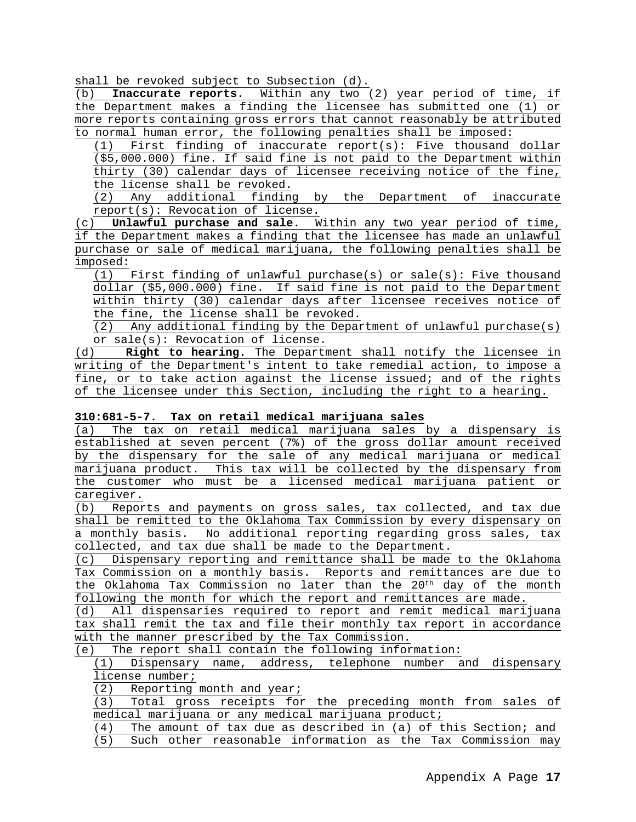shall be revoked subject to Subsection (d).

(b) **Inaccurate reports.** Within any two (2) year period of time, if the Department makes a finding the licensee has submitted one (1) or more reports containing gross errors that cannot reasonably be attributed to normal human error, the following penalties shall be imposed:

(1) First finding of inaccurate report(s): Five thousand dollar (\$5,000.000) fine. If said fine is not paid to the Department within thirty (30) calendar days of licensee receiving notice of the fine, the license shall be revoked.

(2) Any additional finding by the Department of inaccurate report(s): Revocation of license.

(c) **Unlawful purchase and sale.** Within any two year period of time, if the Department makes a finding that the licensee has made an unlawful purchase or sale of medical marijuana, the following penalties shall be imposed:

 $(1)$  First finding of unlawful purchase(s) or sale(s): Five thousand dollar (\$5,000.000) fine. If said fine is not paid to the Department within thirty (30) calendar days after licensee receives notice of the fine, the license shall be revoked.

(2) Any additional finding by the Department of unlawful purchase(s) or sale(s): Revocation of license.

(d) **Right to hearing.** The Department shall notify the licensee in writing of the Department's intent to take remedial action, to impose a fine, or to take action against the license issued; and of the rights of the licensee under this Section, including the right to a hearing.

#### **310:681-5-7. Tax on retail medical marijuana sales**

(a) The tax on retail medical marijuana sales by a dispensary is established at seven percent (7%) of the gross dollar amount received by the dispensary for the sale of any medical marijuana or medical marijuana product. This tax will be collected by the dispensary from the customer who must be a licensed medical marijuana patient or caregiver.

(b) Reports and payments on gross sales, tax collected, and tax due shall be remitted to the Oklahoma Tax Commission by every dispensary on a monthly basis. No additional reporting regarding gross sales, tax collected, and tax due shall be made to the Department.

(c) Dispensary reporting and remittance shall be made to the Oklahoma Tax Commission on a monthly basis. Reports and remittances are due to the Oklahoma Tax Commission no later than the 20<sup>th</sup> day of the month following the month for which the report and remittances are made.

(d) All dispensaries required to report and remit medical marijuana tax shall remit the tax and file their monthly tax report in accordance with the manner prescribed by the Tax Commission.

(e) The report shall contain the following information:

(1) Dispensary name, address, telephone number and dispensary license number;

(2) Reporting month and year;

(3) Total gross receipts for the preceding month from sales of medical marijuana or any medical marijuana product;<br>(4) The amount of tax due as described in (a) of t

The amount of tax due as described in (a) of this Section; and

(5) Such other reasonable information as the Tax Commission may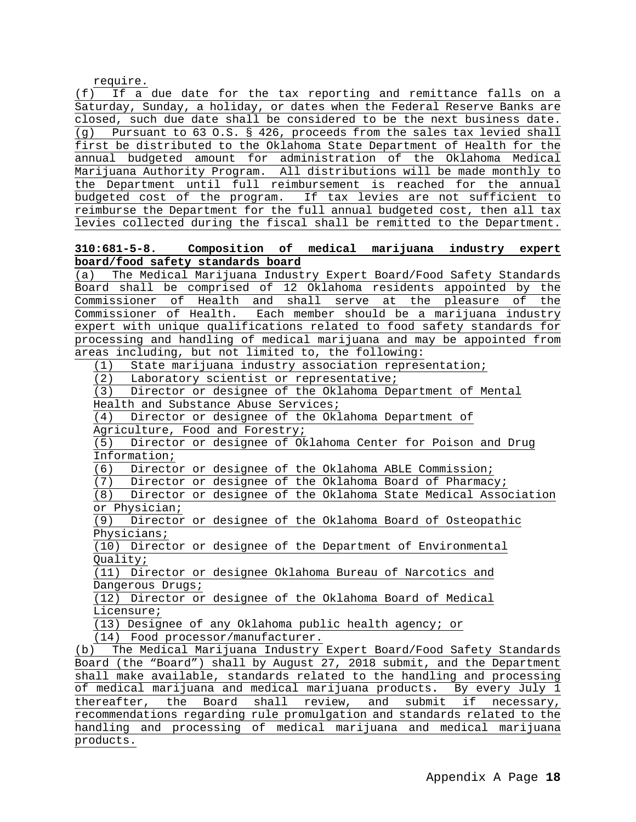require.

(f) If a due date for the tax reporting and remittance falls on a Saturday, Sunday, a holiday, or dates when the Federal Reserve Banks are closed, such due date shall be considered to be the next business date.<br>(q) Pursuant to 63 O.S. § 426, proceeds from the sales tax levied shall Pursuant to 63 O.S. § 426, proceeds from the sales tax levied shall first be distributed to the Oklahoma State Department of Health for the annual budgeted amount for administration of the Oklahoma Medical Marijuana Authority Program. All distributions will be made monthly to the Department until full reimbursement is reached for the annual budgeted cost of the program. If tax levies are not sufficient to reimburse the Department for the full annual budgeted cost, then all tax levies collected during the fiscal shall be remitted to the Department.

# **310:681-5-8. Composition of medical marijuana industry expert board/food safety standards board**

(a) The Medical Marijuana Industry Expert Board/Food Safety Standards Board shall be comprised of 12 Oklahoma residents appointed by the Commissioner of Health and shall serve at the pleasure of the Commissioner of Health. Each member should be a marijuana industry expert with unique qualifications related to food safety standards for processing and handling of medical marijuana and may be appointed from areas including, but not limited to, the following:

(1) State marijuana industry association representation;

(2) Laboratory scientist or representative;

(3) Director or designee of the Oklahoma Department of Mental

Health and Substance Abuse Services;

(4) Director or designee of the Oklahoma Department of

Agriculture, Food and Forestry;<br>(5) Director or designee of Ok Director or designee of Oklahoma Center for Poison and Drug Information;

(6) Director or designee of the Oklahoma ABLE Commission;

(7) Director or designee of the Oklahoma Board of Pharmacy;

(8) Director or designee of the Oklahoma State Medical Association or Physician;

(9) Director or designee of the Oklahoma Board of Osteopathic Physicians;

(10) Director or designee of the Department of Environmental Quality;

(11) Director or designee Oklahoma Bureau of Narcotics and Dangerous Drugs;

(12) Director or designee of the Oklahoma Board of Medical Licensure;

(13) Designee of any Oklahoma public health agency; or

(14) Food processor/manufacturer.

(b) The Medical Marijuana Industry Expert Board/Food Safety Standards Board (the "Board") shall by August 27, 2018 submit, and the Department shall make available, standards related to the handling and processing of medical marijuana and medical marijuana products**.** By every July 1 thereafter, the Board shall review, and submit if necessary, recommendations regarding rule promulgation and standards related to the handling and processing of medical marijuana and medical marijuana products.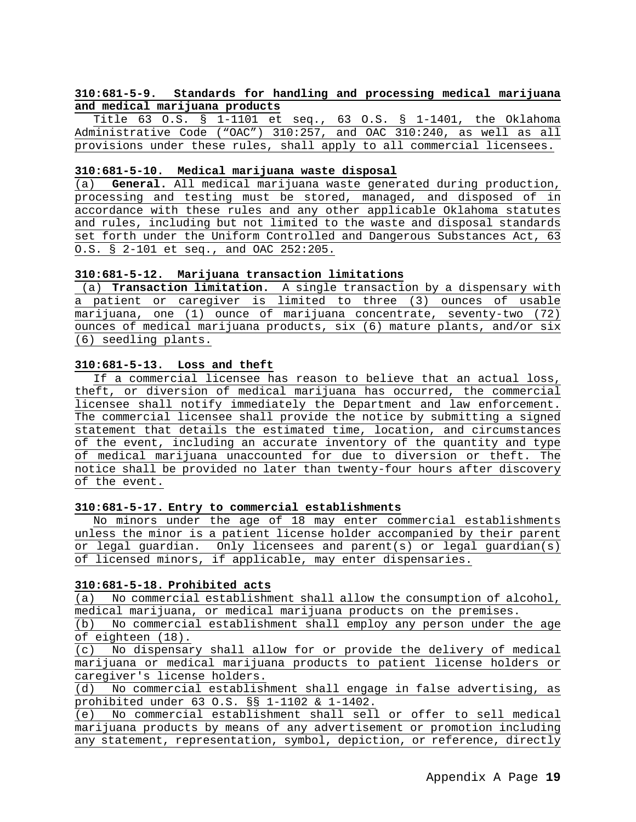# **310:681-5-9. Standards for handling and processing medical marijuana and medical marijuana products**

Title 63 O.S. § 1-1101 et seq., 63 O.S. § 1-1401, the Oklahoma Administrative Code ("OAC") 310:257, and OAC 310:240, as well as all provisions under these rules, shall apply to all commercial licensees.

#### **310:681-5-10. Medical marijuana waste disposal**

(a) **General.** All medical marijuana waste generated during production, processing and testing must be stored, managed, and disposed of in accordance with these rules and any other applicable Oklahoma statutes and rules, including but not limited to the waste and disposal standards set forth under the Uniform Controlled and Dangerous Substances Act, 63 O.S. § 2-101 et seq., and OAC 252:205.

#### **310:681-5-12. Marijuana transaction limitations**

(a) **Transaction limitation.** A single transaction by a dispensary with a patient or caregiver is limited to three (3) ounces of usable marijuana, one (1) ounce of marijuana concentrate, seventy-two (72) ounces of medical marijuana products, six (6) mature plants, and/or six (6) seedling plants.

## **310:681-5-13. Loss and theft**

If a commercial licensee has reason to believe that an actual loss, theft, or diversion of medical marijuana has occurred, the commercial licensee shall notify immediately the Department and law enforcement. The commercial licensee shall provide the notice by submitting a signed statement that details the estimated time, location, and circumstances of the event, including an accurate inventory of the quantity and type of medical marijuana unaccounted for due to diversion or theft. The notice shall be provided no later than twenty-four hours after discovery of the event.

#### **310:681-5-17. Entry to commercial establishments**

No minors under the age of 18 may enter commercial establishments unless the minor is a patient license holder accompanied by their parent or legal guardian. Only licensees and parent(s) or legal guardian(s) of licensed minors, if applicable, may enter dispensaries.

#### **310:681-5-18. Prohibited acts**

(a) No commercial establishment shall allow the consumption of alcohol, medical marijuana, or medical marijuana products on the premises.

(b) No commercial establishment shall employ any person under the age of eighteen (18).

(c) No dispensary shall allow for or provide the delivery of medical marijuana or medical marijuana products to patient license holders or caregiver's license holders.<br>(d) No commercial establish

No commercial establishment shall engage in false advertising, as prohibited under 63 O.S. §§ 1-1102 & 1-1402.

(e) No commercial establishment shall sell or offer to sell medical marijuana products by means of any advertisement or promotion including any statement, representation, symbol, depiction, or reference, directly